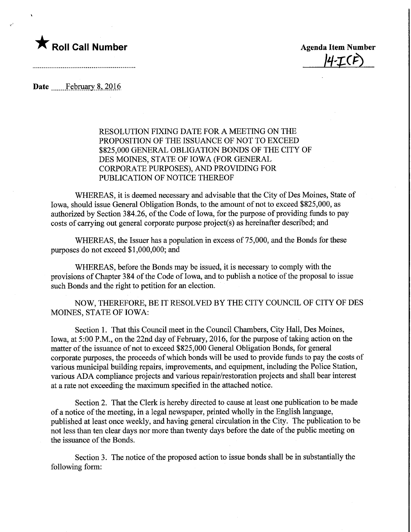

14-ICF)

Date February 8, 2016

RESOLUTION FIXING DATE FOR A MEETING ON THE PROPOSITION OF THE ISSUANCE OF NOT TO EXCEED \$825,000 GENERAL OBLIGATION BONDS OF THE CITY OF DES MOINES, STATE OF IOWA (FOR GENERAL CORPORATE PURPOSES), AND PROVIDING FOR PUBLICATION OF NOTICE THEREOF

WHEREAS, it is deemed necessary and advisable that the City of Des Moines, State of Iowa, should issue General Obligation Bonds, to the amount of not to exceed \$825,000, as authorized by Section 384.26, of the Code of Iowa, for the purpose of providing funds to pay costs of carrying out general corporate purpose project(s) as hereinafter described; and

WHEREAS, the Issuer has a population in excess of 75,000, and the Bonds for these purposes do not exceed \$1,000,000; and

WHEREAS, before the Bonds may be issued, it is necessary to comply with the provisions of Chapter 384 of the Code of Iowa, and to publish a notice of the proposal to issue such Bonds and the right to petition for an election.

NOW, THEREFORE, BE IT RESOLVED BY THE CITY COUNCIL OF CITY OF DES MOINES, STATE OF IOWA:

Section 1. That this Council meet in the Council Chambers, City Hall, Des Moines, Iowa, at 5:00 P.M., on the 22nd day of February, 2016, for the purpose of taking action on the matter of the issuance of not to exceed \$825,000 General Obligation Bonds, for general corporate purposes, the proceeds of which bonds will be used to provide funds to pay the costs of various municipal building repairs, improvements, and equipment, including the Police Station, various ADA compliance projects and various repair/restoration projects and shall bear interest at a rate not exceeding the maximum specified in the attached notice.

Section 2. That the Clerk is hereby directed to cause at least one publication to be made of a notice of the meeting, in a legal newspaper, printed wholly in the English language, published at least once weekly, and having general circulation in the City. The publication to be not less than ten clear days nor more than twenty days before the date of the public meeting on the issuance of the Bonds.

Section 3. The notice of the proposed action to issue bonds shall be in substantially the following form: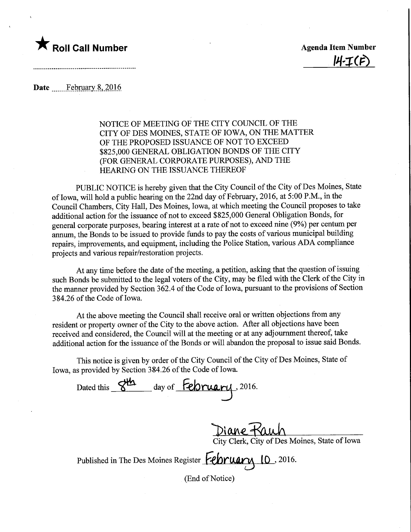

 $H-I$ (1

Date ....... February 8, 2016

## NOTICE OF MEETING OF THE CITY COUNCIL OF THE CITY OF DES MOINES, STATE OF IOWA, ON THE MATTER OF THE PROPOSED ISSUANCE OF NOT TO EXCEED \$825,000 GENERAL OBLIGATION BONDS OF THE CITY (FOR GENERAL CORPORATE PURPOSES), AND THE HEARING ON THE ISSUANCE THEREOF

PUBLIC NOTICE is hereby given that the City Council of the City of Des Moines, State of Iowa, will hold a public hearing on the 22nd day of February, 2016, at 5:00 P.M., in the Council Chambers, City Hall, Des Moines, Iowa, at which meeting the Council proposes to take additional action for the issuance of not to exceed \$825,000 General Obligation Bonds, for general corporate purposes, bearing interest at a rate of not to exceed nine (9%) per centum per annum, the Bonds to be issued to provide funds to pay the costs of various municipal building repairs, improvements, and equipment, including the Police Station, various ADA compliance projects and various repair/restoration projects.

At any time before the date of the meeting, a petition, asking that the question of issuing such Bonds be submitted to the legal voters of the City, may be filed with the Clerk of the City in the manner provided by Section 362.4 of the Code of Iowa, pursuant to the provisions of Section 384.26 of the Code of Iowa.

At the above meeting the Council shall receive oral or written objections from any resident or property owner of the City to the above action. After all objections have been received and considered, the Council will at the meeting or at any adjournment thereof, take additional action for the issuance of the Bonds or will abandon the proposal to issue said Bonds.

This notice is given by order of the City Council of the City of Des Moines, State of Iowa, as provided by Section 384.26 of the Code of Iowa.

Dated this S<sup>yla</sup> day of February, 2016.

Diane-Kauh

City Clerk, City of Des Moines, State of Iowa

Published in The Des Moines Register **February** 10, 2016.

(End of Notice)